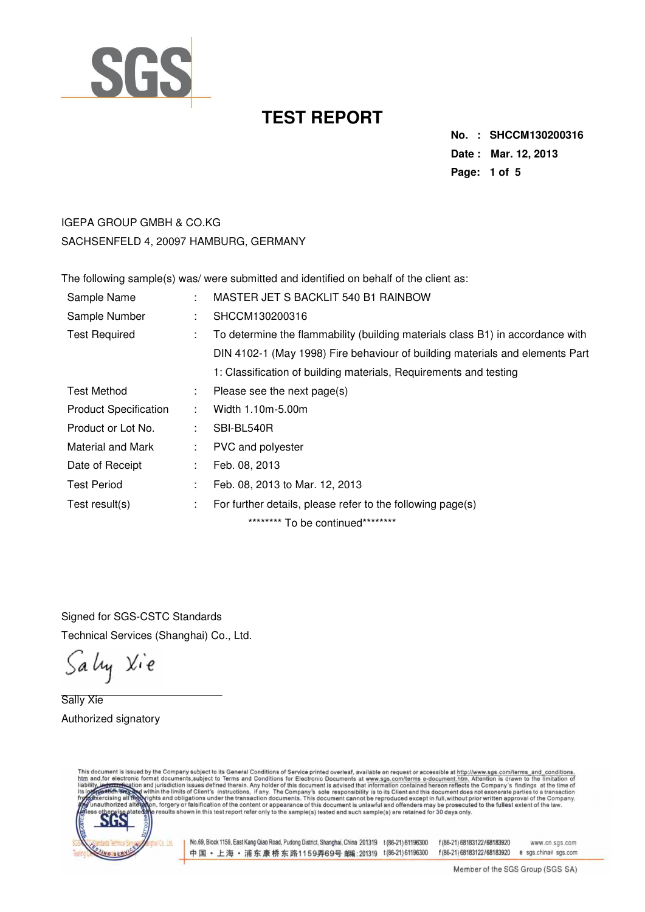

**No. : SHCCM130200316 Date : Mar. 12, 2013 Page: 1 of 5** 

## IGEPA GROUP GMBH & CO.KG SACHSENFELD 4, 20097 HAMBURG, GERMANY

The following sample(s) was/ were submitted and identified on behalf of the client as:

| Sample Name                  | $\bullet$ | MASTER JET S BACKLIT 540 B1 RAINBOW                                            |
|------------------------------|-----------|--------------------------------------------------------------------------------|
| Sample Number                | ٠.        | SHCCM130200316                                                                 |
| <b>Test Required</b>         | ÷         | To determine the flammability (building materials class B1) in accordance with |
|                              |           | DIN 4102-1 (May 1998) Fire behaviour of building materials and elements Part   |
|                              |           | 1: Classification of building materials, Requirements and testing              |
| Test Method                  | ÷.        | Please see the next page(s)                                                    |
| <b>Product Specification</b> | ÷         | Width 1.10m-5.00m                                                              |
| Product or Lot No.           |           | SBI-BL540R                                                                     |
| Material and Mark            | ÷         | PVC and polyester                                                              |
| Date of Receipt              | ÷         | Feb. 08, 2013                                                                  |
| <b>Test Period</b>           | ÷         | Feb. 08, 2013 to Mar. 12, 2013                                                 |
| Test result(s)               | ÷         | For further details, please refer to the following page(s)                     |
|                              |           | ********* To be continued*********                                             |

Signed for SGS-CSTC Standards Technical Services (Shanghai) Co., Ltd.

Sally Xie

Sally Xie Authorized signatory



No.69, Block 1159, East Kang Qiao Road, Pudong District, Shanghai, China 201319 t (86-21) 61196300 f (86-21) 68183122/68183920 中国·上海·浦东康桥东路1159弄69号 邮编:201319 t(86-21)61196300

www.cn.sgs.com f(86-21) 68183122/68183920 e sgs.china@sgs.com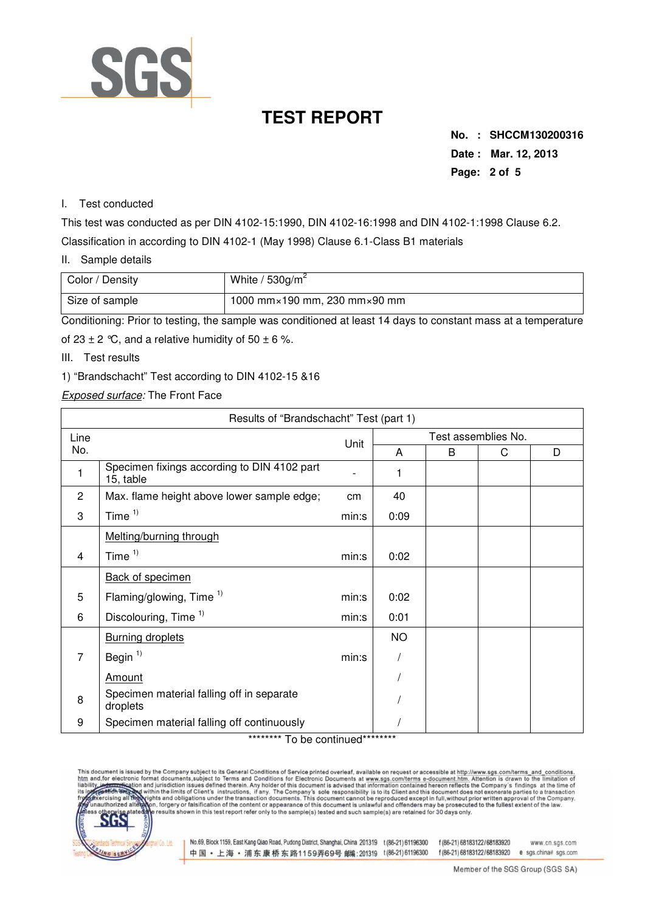

**No. : SHCCM130200316 Date : Mar. 12, 2013 Page: 2 of 5** 

### I. Test conducted

This test was conducted as per DIN 4102-15:1990, DIN 4102-16:1998 and DIN 4102-1:1998 Clause 6.2. Classification in according to DIN 4102-1 (May 1998) Clause 6.1-Class B1 materials

### II. Sample details

| Color / Density | White / $530$ g/m <sup>2</sup>                 |
|-----------------|------------------------------------------------|
| Size of sample  | 1000 mm $\times$ 190 mm, 230 mm $\times$ 90 mm |

Conditioning: Prior to testing, the sample was conditioned at least 14 days to constant mass at a temperature

of 23  $\pm$  2 °C, and a relative humidity of 50  $\pm$  6 %.

III. Test results

### 1) "Brandschacht" Test according to DIN 4102-15 &16

Exposed surface: The Front Face

| Results of "Brandschacht" Test (part 1) |                                                                              |              |                     |   |   |   |  |  |
|-----------------------------------------|------------------------------------------------------------------------------|--------------|---------------------|---|---|---|--|--|
| Line                                    |                                                                              | Unit         | Test assemblies No. |   |   |   |  |  |
| No.                                     |                                                                              |              | A                   | B | C | D |  |  |
| 1                                       | Specimen fixings according to DIN 4102 part<br>15, table                     |              | 1                   |   |   |   |  |  |
| $\overline{2}$                          | Max. flame height above lower sample edge;                                   | cm           | 40                  |   |   |   |  |  |
| 3                                       | Time $1$                                                                     | min:s        | 0:09                |   |   |   |  |  |
|                                         | Melting/burning through                                                      |              |                     |   |   |   |  |  |
| 4                                       | Time $1)$                                                                    | min:s        | 0:02                |   |   |   |  |  |
|                                         | <b>Back of specimen</b>                                                      |              |                     |   |   |   |  |  |
| 5                                       | Flaming/glowing, Time <sup>1)</sup>                                          | min:s        | 0:02                |   |   |   |  |  |
| 6                                       | Discolouring, Time <sup>1)</sup>                                             | min:s        | 0:01                |   |   |   |  |  |
|                                         | <b>Burning droplets</b>                                                      |              | <b>NO</b>           |   |   |   |  |  |
| $\overline{7}$                          | Begin $1$                                                                    | min:s        |                     |   |   |   |  |  |
|                                         | Amount                                                                       |              |                     |   |   |   |  |  |
| 8                                       | Specimen material falling off in separate<br>droplets                        |              |                     |   |   |   |  |  |
| 9                                       | Specimen material falling off continuously<br>$+ + + + + + + + + + + \ldots$ | $\mathbf{r}$ |                     |   |   |   |  |  |

#### To be continued

This document is issued by the Company subject to its General Conditions of Service printed overleaf, available on request or accessible at http://www.sgs.com/terms\_and\_conditions.<br>htm\_and,for\_electronic format\_documents,s



No.69, Block 1159, East Kang Qiao Road, Pudong District, Shanghai, China 201319 t (86-21) 61196300 f (86-21) 68183122/68183920 中国·上海·浦东康桥东路1159弄69号邮编:201319 t(86-21)61196300

www.cn.sgs.com f(86-21)68183122/68183920 e sgs.china@sgs.com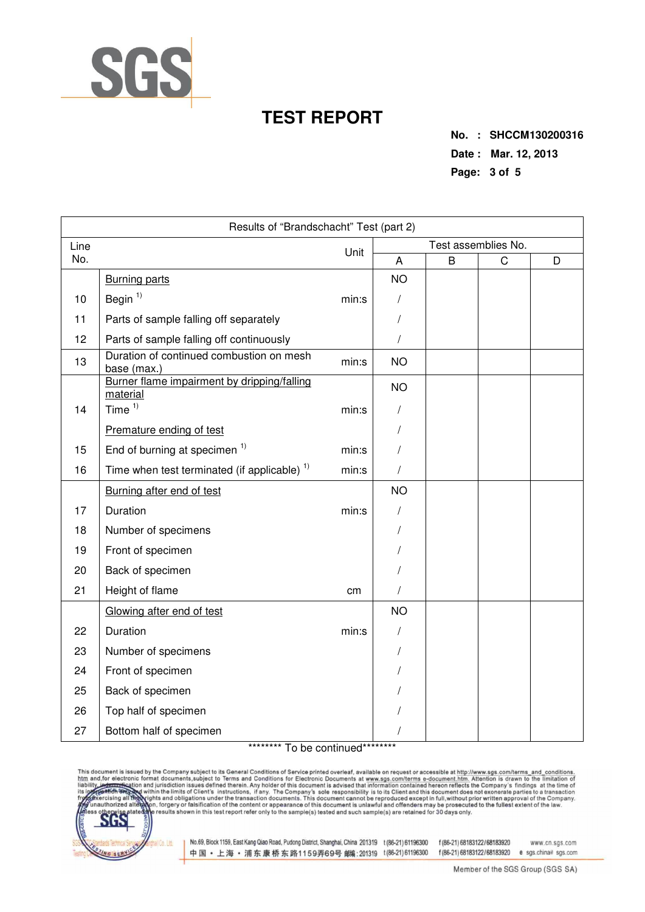

**No. : SHCCM130200316 Date : Mar. 12, 2013 Page: 3 of 5** 

| Results of "Brandschacht" Test (part 2) |                                                         |       |            |                     |             |   |  |  |
|-----------------------------------------|---------------------------------------------------------|-------|------------|---------------------|-------------|---|--|--|
| Line<br>Unit                            |                                                         |       |            | Test assemblies No. |             |   |  |  |
| No.                                     |                                                         |       | A          | B                   | $\mathsf C$ | D |  |  |
|                                         | <b>Burning parts</b>                                    |       | <b>NO</b>  |                     |             |   |  |  |
| 10                                      | Begin $1$                                               | min:s | $\sqrt{2}$ |                     |             |   |  |  |
| 11                                      | Parts of sample falling off separately                  |       |            |                     |             |   |  |  |
| 12                                      | Parts of sample falling off continuously                |       |            |                     |             |   |  |  |
| 13                                      | Duration of continued combustion on mesh<br>base (max.) | min:s | <b>NO</b>  |                     |             |   |  |  |
|                                         | Burner flame impairment by dripping/falling<br>material |       | <b>NO</b>  |                     |             |   |  |  |
| 14                                      | Time $1)$                                               | min:s |            |                     |             |   |  |  |
|                                         | Premature ending of test                                |       |            |                     |             |   |  |  |
| 15                                      | End of burning at specimen <sup>1)</sup>                | min:s |            |                     |             |   |  |  |
| 16                                      | Time when test terminated (if applicable) <sup>1)</sup> | min:s |            |                     |             |   |  |  |
|                                         | Burning after end of test                               |       | <b>NO</b>  |                     |             |   |  |  |
| 17                                      | Duration                                                | min:s |            |                     |             |   |  |  |
| 18                                      | Number of specimens                                     |       |            |                     |             |   |  |  |
| 19                                      | Front of specimen                                       |       |            |                     |             |   |  |  |
| 20                                      | Back of specimen                                        |       |            |                     |             |   |  |  |
| 21                                      | Height of flame                                         | cm    |            |                     |             |   |  |  |
|                                         | Glowing after end of test                               |       | <b>NO</b>  |                     |             |   |  |  |
| 22                                      | Duration                                                | min:s |            |                     |             |   |  |  |
| 23                                      | Number of specimens                                     |       |            |                     |             |   |  |  |
| 24                                      | Front of specimen                                       |       |            |                     |             |   |  |  |
| 25                                      | Back of specimen                                        |       |            |                     |             |   |  |  |
| 26                                      | Top half of specimen                                    |       |            |                     |             |   |  |  |
| 27                                      | Bottom half of specimen                                 |       |            |                     |             |   |  |  |

### \*\*\*\*\*\*\*\*\* To be continued\*\*\*\*\*\*\*\*\*

This document is issued by the Company subject to its General Conditions of Service printed overleaf, available on request or accessible at http://www.sgs.com/terms\_and\_conditions.<br>htm\_and,for electronic format documents,s



No.69, Block 1159, East Kang Qiao Road, Pudong District, Shanghai, China 201319 t (86-21) 61196300 f (86-21) 68183122/68183920 中国·上海·浦东康桥东路1159弄69号 邮(201319 t(86-21)61196300

www.cn.sgs.com f(86-21) 68183122/68183920 e sgs.china@sgs.com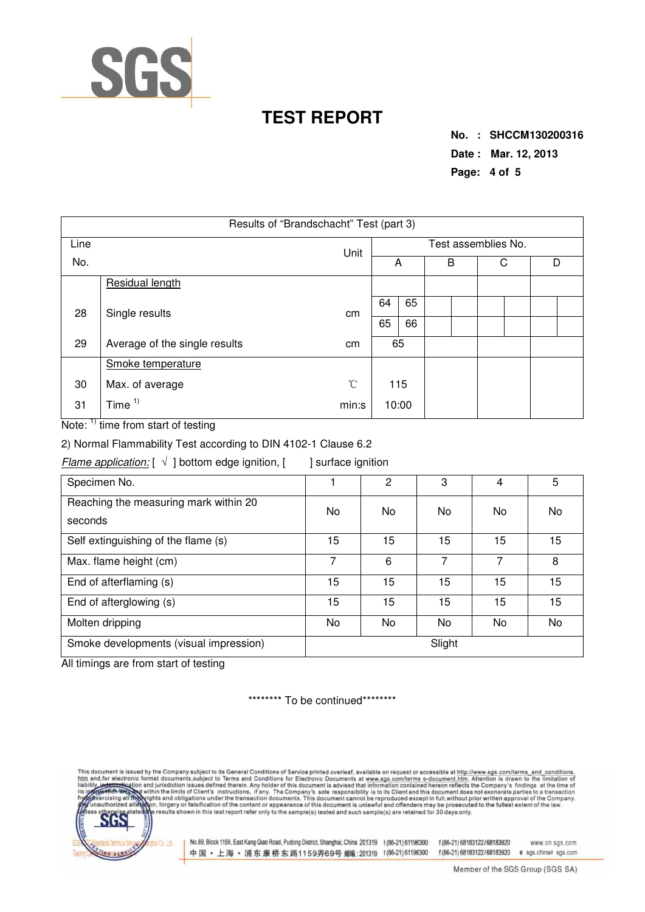

**No. : SHCCM130200316 Date : Mar. 12, 2013 Page: 4 of 5** 

| Results of "Brandschacht" Test (part 3) |                               |              |                     |    |  |   |  |   |  |  |
|-----------------------------------------|-------------------------------|--------------|---------------------|----|--|---|--|---|--|--|
| Line<br>No.                             |                               | Unit         | Test assemblies No. |    |  |   |  |   |  |  |
|                                         |                               |              |                     | A  |  | В |  | С |  |  |
|                                         | Residual length               |              |                     |    |  |   |  |   |  |  |
| 28                                      | Single results                | cm           | 64                  | 65 |  |   |  |   |  |  |
|                                         |                               |              | 65                  | 66 |  |   |  |   |  |  |
| 29                                      | Average of the single results | cm           |                     | 65 |  |   |  |   |  |  |
|                                         | Smoke temperature             |              |                     |    |  |   |  |   |  |  |
| 30                                      | Max. of average               | $^{\circ}$ C | 115                 |    |  |   |  |   |  |  |
| 31                                      | Time $1$                      | min:s        | 10:00               |    |  |   |  |   |  |  |

Note: <sup>1)</sup> time from start of testing

2) Normal Flammability Test according to DIN 4102-1 Clause 6.2

Flame application:  $[\sqrt{}]$  bottom edge ignition,  $[$  ] surface ignition

| Specimen No.                                     |        | 2  | 3  | 4  | 5  |  |  |
|--------------------------------------------------|--------|----|----|----|----|--|--|
| Reaching the measuring mark within 20<br>seconds | No     | No | No | No | No |  |  |
| Self extinguishing of the flame (s)              | 15     | 15 | 15 | 15 | 15 |  |  |
| Max. flame height (cm)                           | 7      | 6  | 7  | 7  | 8  |  |  |
| End of afterflaming (s)                          | 15     | 15 | 15 | 15 | 15 |  |  |
| End of afterglowing (s)                          | 15     | 15 | 15 | 15 | 15 |  |  |
| Molten dripping                                  | No     | No | No | No | No |  |  |
| Smoke developments (visual impression)           | Slight |    |    |    |    |  |  |

All timings are from start of testing

\*\*\*\*\*\*\*\*\* To be continued\*\*\*\*\*\*\*\*\*

and, for electronic format documents, subject to its General Conditions of Service printed overleaf, available on request or accessible at http://www.sgs.com/terms\_and\_conditions.<br>and, for electronic format documents, subj liabili



No.69, Block 1159, East Kang Qiao Road, Pudong District, Shanghai, China 201319 t (86-21) 61196300 f (86-21) 68183122/68183920 中国·上海·浦东康桥东路1159弄69号 邮编:201319 t(86-21)61196300

www.cn.sgs.com f(86-21) 68183122/68183920 e sgs.china@sgs.com